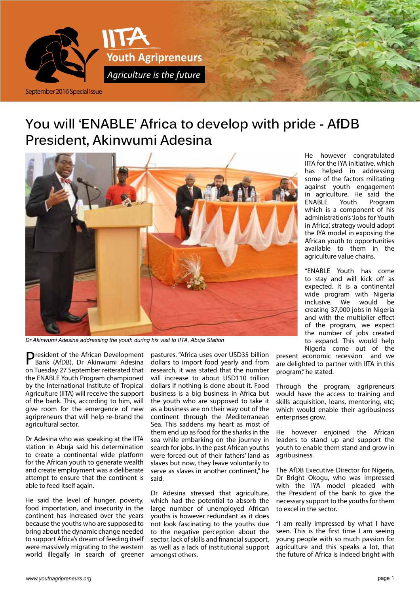

# **You will 'ENABLE' Africa to develop with pride - AfDB President, Akinwumi Adesina**



*Dr Akinwumi Adesina addressing the youth during his visit to IITA, Abuja Station*

President of the African Development Bank (AfDB), Dr Akinwumi Adesina on Tuesday 27 September reiterated that the ENABLE Youth Program championed by the International Institute of Tropical Agriculture (IITA) will receive the support of the bank. This, according to him, will give room for the emergence of new agripreneurs that will help re-brand the agricultural sector.

Dr Adesina who was speaking at the IITA station in Abuja said his determination to create a continental wide platform for the African youth to generate wealth and create employment was a deliberate attempt to ensure that the continent is able to feed itself again.

He said the level of hunger, poverty, food importation, and insecurity in the continent has increased over the years because the youths who are supposed to bring about the dynamic change needed to support Africa's dream of feeding itself were massively migrating to the western world illegally in search of greener

pastures. "Africa uses over USD35 billion dollars to import food yearly and from research, it was stated that the number will increase to about USD110 trillion dollars if nothing is done about it. Food business is a big business in Africa but the youth who are supposed to take it as a business are on their way out of the continent through the Mediterranean Sea. This saddens my heart as most of them end up as food for the sharks in the sea while embarking on the journey in search for jobs. In the past African youths were forced out of their fathers' land as slaves but now, they leave voluntarily to serve as slaves in another continent," he said.

Dr Adesina stressed that agriculture, which had the potential to absorb the large number of unemployed African youths is however redundant as it does not look fascinating to the youths due to the negative perception about the sector, lack of skills and financial support, as well as a lack of institutional support amongst others.

He however congratulated IITA for the IYA initiative, which has helped in addressing some of the factors militating against youth engagement in agriculture. He said the ENABLE Youth Program which is a component of his administration's 'Jobs for Youth in Africa', strategy would adopt the IYA model in exposing the African youth to opportunities available to them in the agriculture value chains.

"ENABLE Youth has come to stay and will kick off as expected. It is a continental wide program with Nigeria inclusive. We would be creating 37,000 jobs in Nigeria and with the multiplier effect of the program, we expect the number of jobs created to expand. This would help Nigeria come out of the

present economic recession and we are delighted to partner with IITA in this program," he stated.

Through the program, agripreneurs would have the access to training and skills acquisition, loans, mentoring, etc; which would enable their agribusiness enterprises grow.

He however enjoined the African leaders to stand up and support the youth to enable them stand and grow in agribusiness.

The AfDB Executive Director for Nigeria, Dr Bright Okogu, who was impressed with the IYA model pleaded with the President of the bank to give the necessary support to the youths for them to excel in the sector.

"I am really impressed by what I have seen. This is the first time I am seeing young people with so much passion for agriculture and this speaks a lot, that the future of Africa is indeed bright with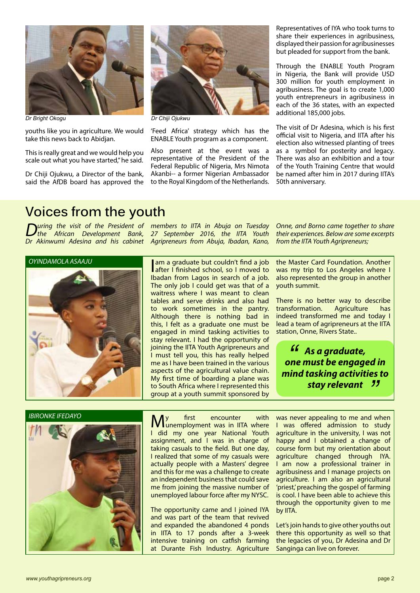

*Dr Bright Okogu Dr Chiji Ojukwu*

youths like you in agriculture. We would take this news back to Abidjan.

This is really great and we would help you scale out what you have started," he said.

Dr Chiji Ojukwu, a Director of the bank, said the AfDB board has approved the



'Feed Africa' strategy which has the ENABLE Youth program as a component.

Also present at the event was a representative of the President of the Federal Republic of Nigeria, Mrs Nimota Akanbi-- a former Nigerian Ambassador to the Royal Kingdom of the Netherlands.

Representatives of IYA who took turns to share their experiences in agribusiness, displayed their passion for agribusinesses but pleaded for support from the bank.

Through the ENABLE Youth Program in Nigeria, the Bank will provide USD 300 million for youth employment in agribusiness. The goal is to create 1,000 youth entrepreneurs in agribusiness in each of the 36 states, with an expected additional 185,000 jobs.

The visit of Dr Adesina, which is his first official visit to Nigeria, and IITA after his election also witnessed planting of trees as a symbol for posterity and legacy. There was also an exhibition and a tour of the Youth Training Centre that would be named after him in 2017 during IITA's 50th anniversary.

### **Voices from the youth**

*During the visit of the President of the African Development Bank, Dr Akinwumi Adesina and his cabinet* 

*OYINDAMOLA ASAAJU*

*members to IITA in Abuja on Tuesday 27 September 2016, the IITA Youth Agripreneurs from Abuja, Ibadan, Kano,* 

I am a graduate but couldn't find a job **after I finished school, so I moved to** Ibadan from Lagos in search of a job. The only job I could get was that of a waitress where I was meant to clean tables and serve drinks and also had to work sometimes in the pantry. Although there is nothing bad in this, I felt as a graduate one must be engaged in mind tasking activities to stay relevant. I had the opportunity of joining the IITA Youth Agripreneurs and I must tell you, this has really helped me as I have been trained in the various aspects of the agricultural value chain. My first time of boarding a plane was to South Africa where I represented this group at a youth summit sponsored by

the Master Card Foundation. Another was my trip to Los Angeles where I also represented the group in another youth summit.

*Onne, and Borno came together to share their experiences. Below are some excerpts* 

*from the IITA Youth Agripreneurs;*

There is no better way to describe transformation. Agriculture has indeed transformed me and today I lead a team of agripreneurs at the IITA station, Onne, Rivers State..

*As a graduate, one must be engaged in*<br> *"* one must be engaged in *mind tasking activities to stay relevant "*

*IBIRONKE IFEDAYO*



**My** first encounter with unemployment was in IITA where I did my one year National Youth assignment, and I was in charge of taking casuals to the field. But one day, I realized that some of my casuals were actually people with a Masters' degree and this for me was a challenge to create an independent business that could save me from joining the massive number of unemployed labour force after my NYSC.

The opportunity came and I joined IYA and was part of the team that revived and expanded the abandoned 4 ponds in IITA to 17 ponds after a 3-week intensive training on catfish farming at Durante Fish Industry. Agriculture was never appealing to me and when I was offered admission to study agriculture in the university, I was not happy and I obtained a change of course form but my orientation about agriculture changed through IYA. I am now a professional trainer in agribusiness and I manage projects on agriculture. I am also an agricultural 'priest,' preaching the gospel of farming is cool. I have been able to achieve this through the opportunity given to me by IITA.

Let's join hands to give other youths out there this opportunity as well so that the legacies of you, Dr Adesina and Dr Sanginga can live on forever.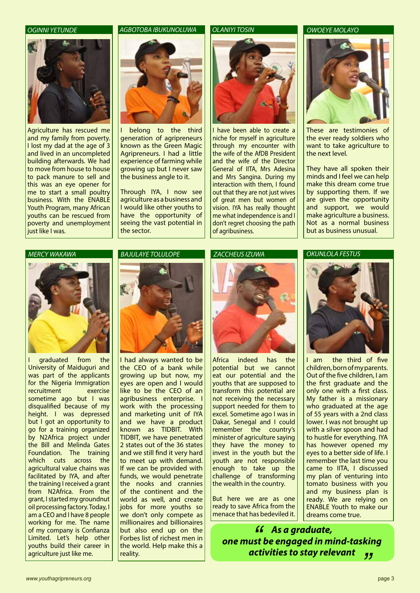

Agriculture has rescued me and my family from poverty. I lost my dad at the age of 3 and lived in an uncompleted building afterwards. We had to move from house to house to pack manure to sell and this was an eye opener for me to start a small poultry business. With the ENABLE Youth Program, many African youths can be rescued from poverty and unemployment liust like I was.

### *OGINNI YETUNDE AGBOTOBA IBUKUNOLUWA OLANIYI TOSIN*



belong to the third generation of agripreneurs known as the Green Magic Agripreneurs. I had a little experience of farming while growing up but I never saw the business angle to it.

Through IYA, I now see agriculture as a business and I would like other youths to have the opportunity of seeing the vast potential in the sector.



I have been able to create a niche for myself in agriculture through my encounter with the wife of the AfDB President and the wife of the Director General of IITA, Mrs Adesina and Mrs Sangina. During my interaction with them, I found out that they are not just wives of great men but women of vision. IYA has really thought me what independence is and I don't regret choosing the path of agribusiness.

### *OWOEYE MOLAYO*



These are testimonies of the ever ready soldiers who want to take agriculture to the next level.

They have all spoken their minds and I feel we can help make this dream come true by supporting them. If we are given the opportunity and support, we would make agriculture a business. Not as a normal business but as business unusual.





araduated from the University of Maiduguri and was part of the applicants for the Nigeria Immigration recruitment exercise sometime ago but I was disqualified because of my height. I was depressed but I got an opportunity to go for a training organized by N2Africa project under the Bill and Melinda Gates Foundation. The training which cuts across the agricultural value chains was facilitated by IYA, and after the training I received a grant from N2Africa. From the grant, I started my groundnut oil processing factory. Today, I am a CEO and I have 8 people working for me. The name of my company is Confianza Limited. Let's help other youths build their career in agriculture just like me.

### *BAJULAYE TOLULOPE*



I had always wanted to be the CEO of a bank while growing up but now, my eyes are open and I would like to be the CEO of an agribusiness enterprise. I work with the processing and marketing unit of IYA and we have a product known as TIDBIT. With TIDBIT, we have penetrated 2 states out of the 36 states and we still find it very hard to meet up with demand. If we can be provided with funds, we would penetrate the nooks and crannies of the continent and the world as well, and create jobs for more youths so we don't only compete as millionaires and billionaires but also end up on the Forbes list of richest men in the world. Help make this a reality.

### *ZACCHEUS IZUWA*



Africa indeed has the potential but we cannot eat our potential and the youths that are supposed to transform this potential are not receiving the necessary support needed for them to excel. Sometime ago I was in Dakar, Senegal and I could remember the country's minister of agriculture saying they have the money to invest in the youth but the youth are not responsible enough to take up the challenge of transforming the wealth in the country.

But here we are as one ready to save Africa from the menace that has bedeviled it.

### *OKUNLOLA FESTUS*



I am the third of five children, born of my parents. Out of the five children, I am the first graduate and the only one with a first class. My father is a missionary who graduated at the age of 55 years with a 2nd class lower. I was not brought up with a silver spoon and had to hustle for everything. IYA has however opened my eyes to a better side of life. I remember the last time you came to IITA, I discussed my plan of venturing into tomato business with you and my business plan is ready. We are relying on ENABLE Youth to make our dreams come true.

*As a graduate, one must be engaged in mind-tasking activities to stay relevant* ا كا<br>st!<br>•~• *"*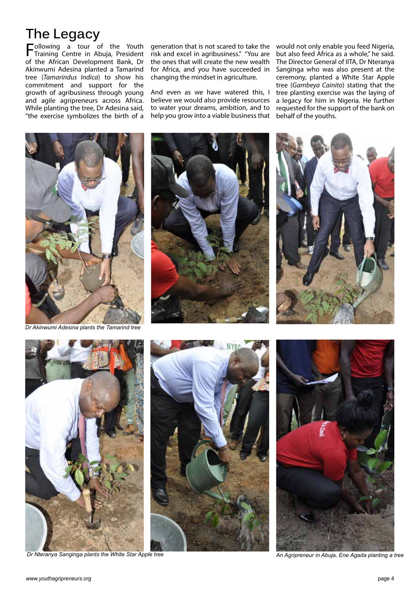# **The Legacy**

 $\sum -\n\begin{array}{ccc}\n-\n\end{array}$  ollowing a tour of the Youth Training Centre in Abuja, President of the African Development Bank, Dr Akinwumi Adesina planted a Tamarind tree (*Tamarindus Indica*) to show his commitment and support for the growth of agribusiness through young and agile agripreneurs across Africa. While planting the tree, Dr Adesina said, "the exercise symbolizes the birth of a

generation that is not scared to take the would not only enable you feed Nigeria, risk and excel in agribusiness." "You are the ones that will create the new wealth for Africa, and you have succeeded in changing the mindset in agriculture.

And even as we have watered this, I believe we would also provide resources to water your dreams, ambition, and to help you grow into a viable business that but also feed Africa as a whole," he said. The Director General of IITA, Dr Nteranya Sanginga who was also present at the ceremony, planted a White Star Apple tree (*Gambeya Cainito*) stating that the tree planting exercise was the laying of a legacy for him in Nigeria. He further requested for the support of the bank on behalf of the youths.



*Dr Akinwumi Adesina plants the Tamarind tree*







*Dr Nteranya Sanginga plants the White Star Apple tree An Agripreneur in Abuja, Ene Agada planting a tree An Agripreneur in Abuja, Ene Agada planting a tree* 



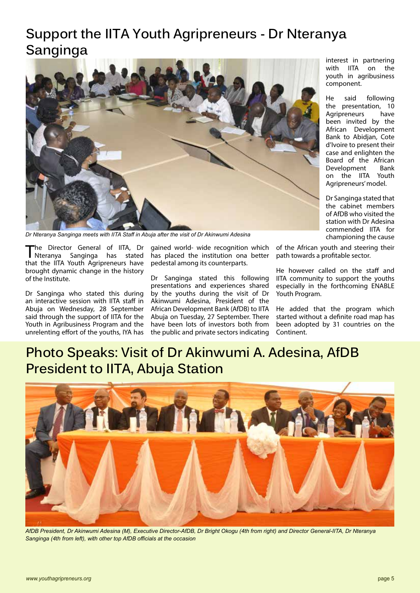# **Support the IITA Youth Agripreneurs - Dr Nteranya Sanginga**



*Dr Nteranya Sanginga meets with IITA Staff in Abuja after the visit of Dr Akinwumi Adesina*

The Director General of IITA, Dr<br>Theranya Sanginga has stated Sanginga has stated that the IITA Youth Agripreneurs have brought dynamic change in the history of the Institute.

Dr Sanginga who stated this during an interactive session with IITA staff in Abuja on Wednesday, 28 September said through the support of IITA for the Youth in Agribusiness Program and the unrelenting effort of the youths, IYA has

gained world- wide recognition which has placed the institution ona better pedestal among its counterparts.

Dr Sanginga stated this following presentations and experiences shared by the youths during the visit of Dr Akinwumi Adesina, President of the African Development Bank (AfDB) to IITA Abuja on Tuesday, 27 September. There have been lots of investors both from the public and private sectors indicating interest in partnering with IITA on the youth in agribusiness component.

He said following the presentation, 10 Agripreneurs have been invited by the African Development Bank to Abidjan, Cote d'Ivoire to present their case and enlighten the Board of the African Development Bank on the IITA Youth Agripreneurs' model.

Dr Sanginga stated that the cabinet members of AfDB who visited the station with Dr Adesina commended IITA for championing the cause

of the African youth and steering their path towards a profitable sector.

He however called on the staff and IITA community to support the youths especially in the forthcoming ENABLE Youth Program.

He added that the program which started without a definite road map has been adopted by 31 countries on the Continent.

## **Photo Speaks: Visit of Dr Akinwumi A. Adesina, AfDB President to IITA, Abuja Station**



*AfDB President, Dr Akinwumi Adesina (M), Executive Director-AfDB, Dr Bright Okogu (4th from right) and Director General-IITA, Dr Nteranya Sanginga (4th from left), with other top AfDB officials at the occasion*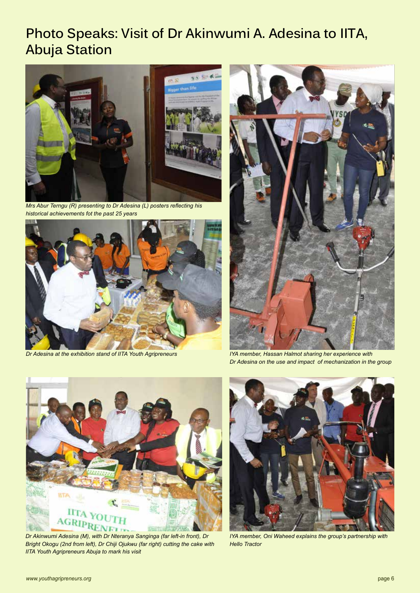# **Photo Speaks: Visit of Dr Akinwumi A. Adesina to IITA, Abuja Station**



*Mrs Abur Terngu (R) presenting to Dr Adesina (L) posters reflecting his historical achievements fot the past 25 years*



*Dr Adesina at the exhibition stand of IITA Youth Agripreneurs*



*IYA member, Hassan Halmot sharing her experience with Dr Adesina on the use and impact of mechanization in the group*



*Dr Akinwumi Adesina (M), with Dr Nteranya Sanginga (far left-in front), Dr Bright Okogu (2nd from left), Dr Chiji Ojukwu (far right) cutting the cake with IITA Youth Agripreneurs Abuja to mark his visit*



*IYA member, Oni Waheed explains the group's partnership with Hello Tractor*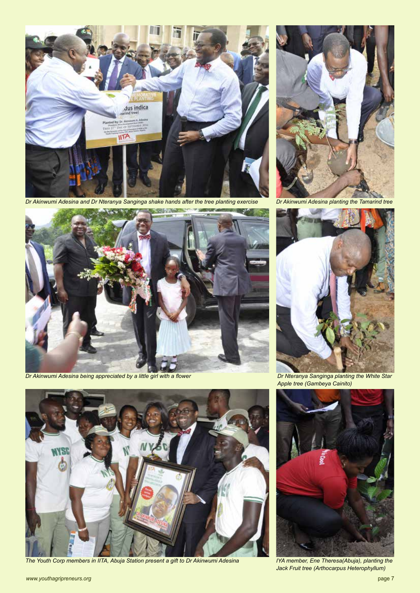

*Dr Akinwumi Adesina and Dr Nteranya Sanginga shake hands after the tree planting exercise*



*Dr Akinwumi Adesina being appreciated by a little girl with a flower*



*The Youth Corp members in IITA, Abuja Station present a gift to Dr Akinwumi Adesina IYA member, Ene Theresa(Abuja), planting the* 



*Dr Akinwumi Adesina planting the Tamarind tree*



*Dr Nteranya Sanginga planting the White Star Apple tree (Gambeya Cainito)*



*Jack Fruit tree (Arthocarpus Heterophyllum)*